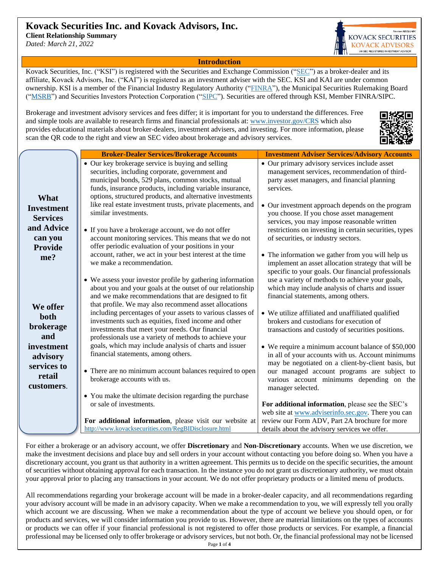# **Kovack Securities Inc. and Kovack Advisors, Inc.**

**Client Relationship Summary**

*Dated: March 21, 2022*



**Introduction**

Kovack Securities, Inc. ("KSI") is registered with the Securities and Exchange Commission (["SEC"](https://www.sec.gov/)) as a broker-dealer and its affiliate, Kovack Advisors, Inc. ("KAI") is registered as an investment adviser with the SEC. KSI and KAI are under common ownership. KSI is a member of the Financial Industry Regulatory Authority (["FINRA"](https://www.finra.org/)), the Municipal Securities Rulemaking Board (["MSRB"](http://www.msrb.org/)) and Securities Investors Protection Corporation (["SIPC"](https://www.sipc.org/)). Securities are offered through KSI, Member FINRA/SIPC.

Brokerage and investment advisory services and fees differ; it is important for you to understand the differences. Free and simple tools are available to research firms and financial professionals at: [www.investor.gov/CRS](http://www.investor.gov/CRS) which also provides educational materials about broker-dealers, investment advisers, and investing. For more information, please scan the QR code to the right and view an SEC video about brokerage and advisory services.



|                   | <b>Broker-Dealer Services/Brokerage Accounts</b>                                                                                                          | <b>Investment Adviser Services/Advisory Accounts</b>                                                                                                            |
|-------------------|-----------------------------------------------------------------------------------------------------------------------------------------------------------|-----------------------------------------------------------------------------------------------------------------------------------------------------------------|
|                   | • Our key brokerage service is buying and selling<br>securities, including corporate, government and<br>municipal bonds, 529 plans, common stocks, mutual | • Our primary advisory services include asset<br>management services, recommendation of third-<br>party asset managers, and financial planning                  |
|                   | funds, insurance products, including variable insurance,                                                                                                  | services.                                                                                                                                                       |
|                   | options, structured products, and alternative investments                                                                                                 |                                                                                                                                                                 |
| What              | like real estate investment trusts, private placements, and                                                                                               |                                                                                                                                                                 |
| <b>Investment</b> | similar investments.                                                                                                                                      | • Our investment approach depends on the program<br>you choose. If you chose asset management                                                                   |
| <b>Services</b>   |                                                                                                                                                           |                                                                                                                                                                 |
| and Advice        |                                                                                                                                                           | services, you may impose reasonable written                                                                                                                     |
|                   | • If you have a brokerage account, we do not offer                                                                                                        | restrictions on investing in certain securities, types                                                                                                          |
| can you           | account monitoring services. This means that we do not                                                                                                    | of securities, or industry sectors.                                                                                                                             |
| <b>Provide</b>    | offer periodic evaluation of your positions in your<br>account, rather, we act in your best interest at the time                                          |                                                                                                                                                                 |
| me?               | we make a recommendation.                                                                                                                                 | • The information we gather from you will help us<br>implement an asset allocation strategy that will be<br>specific to your goals. Our financial professionals |
|                   | • We assess your investor profile by gathering information                                                                                                | use a variety of methods to achieve your goals,                                                                                                                 |
|                   | about you and your goals at the outset of our relationship                                                                                                | which may include analysis of charts and issuer                                                                                                                 |
|                   | and we make recommendations that are designed to fit                                                                                                      | financial statements, among others.                                                                                                                             |
| We offer          | that profile. We may also recommend asset allocations                                                                                                     |                                                                                                                                                                 |
| <b>both</b>       | including percentages of your assets to various classes of                                                                                                | • We utilize affiliated and unaffiliated qualified                                                                                                              |
|                   | investments such as equities, fixed income and other                                                                                                      | brokers and custodians for execution of                                                                                                                         |
| brokerage         | investments that meet your needs. Our financial                                                                                                           | transactions and custody of securities positions.                                                                                                               |
| and               | professionals use a variety of methods to achieve your                                                                                                    |                                                                                                                                                                 |
| investment        | goals, which may include analysis of charts and issuer                                                                                                    | • We require a minimum account balance of \$50,000                                                                                                              |
| advisory          | financial statements, among others.                                                                                                                       | in all of your accounts with us. Account minimums                                                                                                               |
| services to       |                                                                                                                                                           | may be negotiated on a client-by-client basis, but                                                                                                              |
| retail            | • There are no minimum account balances required to open                                                                                                  | our managed account programs are subject to                                                                                                                     |
|                   | brokerage accounts with us.                                                                                                                               | various account minimums depending on the                                                                                                                       |
| customers.        |                                                                                                                                                           | manager selected.                                                                                                                                               |
|                   | • You make the ultimate decision regarding the purchase                                                                                                   |                                                                                                                                                                 |
|                   | or sale of investments.                                                                                                                                   | For additional information, please see the SEC's                                                                                                                |
|                   |                                                                                                                                                           | web site at www.adviserinfo.sec.gov. There you can                                                                                                              |
|                   | For additional information, please visit our website at                                                                                                   | review our Form ADV, Part 2A brochure for more                                                                                                                  |
|                   | http://www.kovacksecurities.com/RegBIDisclosure.html                                                                                                      | details about the advisory services we offer.                                                                                                                   |
|                   |                                                                                                                                                           |                                                                                                                                                                 |

For either a brokerage or an advisory account, we offer **Discretionary** and **Non-Discretionary** accounts. When we use discretion, we make the investment decisions and place buy and sell orders in your account without contacting you before doing so. When you have a discretionary account, you grant us that authority in a written agreement. This permits us to decide on the specific securities, the amount of securities without obtaining approval for each transaction. In the instance you do not grant us discretionary authority, we must obtain your approval prior to placing any transactions in your account. We do not offer proprietary products or a limited menu of products.

Page **1** of **4** All recommendations regarding your brokerage account will be made in a broker-dealer capacity, and all recommendations regarding your advisory account will be made in an advisory capacity. When we make a recommendation to you, we will expressly tell you orally which account we are discussing. When we make a recommendation about the type of account we believe you should open, or for products and services, we will consider information you provide to us. However, there are material limitations on the types of accounts or products we can offer if your financial professional is not registered to offer those products or services. For example, a financial professional may be licensed only to offer brokerage or advisory services, but not both. Or, the financial professional may not be licensed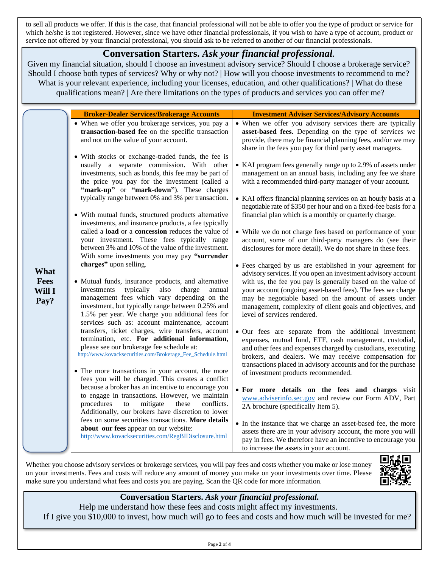to sell all products we offer. If this is the case, that financial professional will not be able to offer you the type of product or service for which he/she is not registered. However, since we have other financial professionals, if you wish to have a type of account, product or service not offered by your financial professional, you should ask to be referred to another of our financial professionals.

## **Conversation Starters.** *Ask your financial professional.*

Given my financial situation, should I choose an investment advisory service? Should I choose a brokerage service? Should I choose both types of services? Why or why not? | How will you choose investments to recommend to me? What is your relevant experience, including your licenses, education, and other qualifications? | What do these qualifications mean? | Are there limitations on the types of products and services you can offer me?

|                                | <b>Broker-Dealer Services/Brokerage Accounts</b>                                                                                                                                                                                                                                                                                                                                                                                                                                                                                                                                                                                                                                                                                                                                                                                                                                                                                                                                         | <b>Investment Adviser Services/Advisory Accounts</b>                                                                                                                                                                                                                                                                                                                                                                                                                                                                                                                                                                                                                                                                                                                                                                                                                                                                                                                                                |  |
|--------------------------------|------------------------------------------------------------------------------------------------------------------------------------------------------------------------------------------------------------------------------------------------------------------------------------------------------------------------------------------------------------------------------------------------------------------------------------------------------------------------------------------------------------------------------------------------------------------------------------------------------------------------------------------------------------------------------------------------------------------------------------------------------------------------------------------------------------------------------------------------------------------------------------------------------------------------------------------------------------------------------------------|-----------------------------------------------------------------------------------------------------------------------------------------------------------------------------------------------------------------------------------------------------------------------------------------------------------------------------------------------------------------------------------------------------------------------------------------------------------------------------------------------------------------------------------------------------------------------------------------------------------------------------------------------------------------------------------------------------------------------------------------------------------------------------------------------------------------------------------------------------------------------------------------------------------------------------------------------------------------------------------------------------|--|
| What<br>Fees<br>Will I<br>Pay? | • When we offer you brokerage services, you pay a<br>transaction-based fee on the specific transaction<br>and not on the value of your account.                                                                                                                                                                                                                                                                                                                                                                                                                                                                                                                                                                                                                                                                                                                                                                                                                                          | • When we offer you advisory services there are typically<br>asset-based fees. Depending on the type of services we<br>provide, there may be financial planning fees, and/or we may<br>share in the fees you pay for third party asset managers.                                                                                                                                                                                                                                                                                                                                                                                                                                                                                                                                                                                                                                                                                                                                                    |  |
|                                | • With stocks or exchange-traded funds, the fee is<br>usually a separate commission. With other<br>investments, such as bonds, this fee may be part of<br>the price you pay for the investment (called a<br>"mark-up" or "mark-down"). These charges<br>typically range between 0% and 3% per transaction.<br>• With mutual funds, structured products alternative<br>investments, and insurance products, a fee typically<br>called a load or a concession reduces the value of<br>your investment. These fees typically range<br>between 3% and 10% of the value of the investment.<br>With some investments you may pay "surrender<br>charges" upon selling.<br>• Mutual funds, insurance products, and alternative<br>investments<br>typically<br>also<br>charge<br>annual<br>management fees which vary depending on the<br>investment, but typically range between 0.25% and<br>1.5% per year. We charge you additional fees for<br>services such as: account maintenance, account | • KAI program fees generally range up to 2.9% of assets under<br>management on an annual basis, including any fee we share<br>with a recommended third-party manager of your account.<br>• KAI offers financial planning services on an hourly basis at a<br>negotiable rate of \$350 per hour and on a fixed-fee basis for a<br>financial plan which is a monthly or quarterly charge.<br>• While we do not charge fees based on performance of your<br>account, some of our third-party managers do (see their<br>disclosures for more detail). We do not share in these fees.<br>• Fees charged by us are established in your agreement for<br>advisory services. If you open an investment advisory account<br>with us, the fee you pay is generally based on the value of<br>your account (ongoing asset-based fees). The fees we charge<br>may be negotiable based on the amount of assets under<br>management, complexity of client goals and objectives, and<br>level of services rendered. |  |
|                                | transfers, ticket charges, wire transfers, account<br>termination, etc. For additional information,<br>please see our brokerage fee schedule at:<br>http://www.kovacksecurities.com/Brokerage_Fee_Schedule.html<br>• The more transactions in your account, the more<br>fees you will be charged. This creates a conflict                                                                                                                                                                                                                                                                                                                                                                                                                                                                                                                                                                                                                                                                | • Our fees are separate from the additional investment<br>expenses, mutual fund, ETF, cash management, custodial,<br>and other fees and expenses charged by custodians, executing<br>brokers, and dealers. We may receive compensation for<br>transactions placed in advisory accounts and for the purchase<br>of investment products recommended.                                                                                                                                                                                                                                                                                                                                                                                                                                                                                                                                                                                                                                                  |  |
|                                | because a broker has an incentive to encourage you<br>to engage in transactions. However, we maintain<br>procedures<br>mitigate<br>conflicts.<br>${\rm to}$<br>these<br>Additionally, our brokers have discretion to lower<br>fees on some securities transactions. More details                                                                                                                                                                                                                                                                                                                                                                                                                                                                                                                                                                                                                                                                                                         | • For more details on the fees and charges visit<br>www.adviserinfo.sec.gov and review our Form ADV, Part<br>2A brochure (specifically Item 5).<br>• In the instance that we charge an asset-based fee, the more                                                                                                                                                                                                                                                                                                                                                                                                                                                                                                                                                                                                                                                                                                                                                                                    |  |
|                                | about our fees appear on our website:<br>http://www.kovacksecurities.com/RegBIDisclosure.html                                                                                                                                                                                                                                                                                                                                                                                                                                                                                                                                                                                                                                                                                                                                                                                                                                                                                            | assets there are in your advisory account, the more you will<br>pay in fees. We therefore have an incentive to encourage you<br>to increase the assets in your account.                                                                                                                                                                                                                                                                                                                                                                                                                                                                                                                                                                                                                                                                                                                                                                                                                             |  |

Whether you choose advisory services or brokerage services, you will pay fees and costs whether you make or lose money on your investments. Fees and costs will reduce any amount of money you make on your investments over time. Please make sure you understand what fees and costs you are paying. Scan the QR code for more information.



## **Conversation Starters.** *Ask your financial professional.*

Help me understand how these fees and costs might affect my investments. If I give you \$10,000 to invest, how much will go to fees and costs and how much will be invested for me?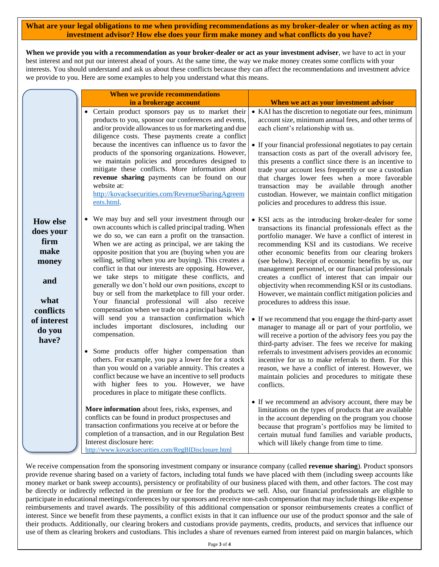**What are your legal obligations to me when providing recommendations as my broker-dealer or when acting as my investment advisor? How else does your firm make money and what conflicts do you have?**

**When we provide you with a recommendation as your broker-dealer or act as your investment adviser**, we have to act in your best interest and not put our interest ahead of yours. At the same time, the way we make money creates some conflicts with your interests. You should understand and ask us about these conflicts because they can affect the recommendations and investment advice we provide to you. Here are some examples to help you understand what this means.

|                                                                                                                     | When we provide recommendations                                                                                                                                                                                                                                                                                                                                                                                                                                                                                                                                                                                                                                                                                                                                                                                                                                                                                                                                                                                                                                                                                       |                                                                                                                                                                                                                                                                                                                                                                                                                                                                                                                                                                                                                                                                                                                                                                                                                                                                                                                                                                                                                                                                                                                                                   |
|---------------------------------------------------------------------------------------------------------------------|-----------------------------------------------------------------------------------------------------------------------------------------------------------------------------------------------------------------------------------------------------------------------------------------------------------------------------------------------------------------------------------------------------------------------------------------------------------------------------------------------------------------------------------------------------------------------------------------------------------------------------------------------------------------------------------------------------------------------------------------------------------------------------------------------------------------------------------------------------------------------------------------------------------------------------------------------------------------------------------------------------------------------------------------------------------------------------------------------------------------------|---------------------------------------------------------------------------------------------------------------------------------------------------------------------------------------------------------------------------------------------------------------------------------------------------------------------------------------------------------------------------------------------------------------------------------------------------------------------------------------------------------------------------------------------------------------------------------------------------------------------------------------------------------------------------------------------------------------------------------------------------------------------------------------------------------------------------------------------------------------------------------------------------------------------------------------------------------------------------------------------------------------------------------------------------------------------------------------------------------------------------------------------------|
|                                                                                                                     | in a brokerage account                                                                                                                                                                                                                                                                                                                                                                                                                                                                                                                                                                                                                                                                                                                                                                                                                                                                                                                                                                                                                                                                                                | When we act as your investment advisor                                                                                                                                                                                                                                                                                                                                                                                                                                                                                                                                                                                                                                                                                                                                                                                                                                                                                                                                                                                                                                                                                                            |
|                                                                                                                     | Certain product sponsors pay us to market their<br>products to you, sponsor our conferences and events,<br>and/or provide allowances to us for marketing and due<br>diligence costs. These payments create a conflict<br>because the incentives can influence us to favor the<br>products of the sponsoring organizations. However,<br>we maintain policies and procedures designed to<br>mitigate these conflicts. More information about<br>revenue sharing payments can be found on our<br>website at:<br>http://kovacksecurities.com/RevenueSharingAgreem<br>ents.html.                                                                                                                                                                                                                                                                                                                                                                                                                                                                                                                                           | • KAI has the discretion to negotiate our fees, minimum<br>account size, minimum annual fees, and other terms of<br>each client's relationship with us.<br>• If your financial professional negotiates to pay certain<br>transaction costs as part of the overall advisory fee,<br>this presents a conflict since there is an incentive to<br>trade your account less frequently or use a custodian<br>that charges lower fees when a more favorable<br>transaction may be available through another<br>custodian. However, we maintain conflict mitigation<br>policies and procedures to address this issue.                                                                                                                                                                                                                                                                                                                                                                                                                                                                                                                                     |
| <b>How else</b><br>does your<br>firm<br>make<br>money<br>and<br>what<br>conflicts<br>of interest<br>do you<br>have? | We may buy and sell your investment through our<br>own accounts which is called principal trading. When<br>we do so, we can earn a profit on the transaction.<br>When we are acting as principal, we are taking the<br>opposite position that you are (buying when you are<br>selling, selling when you are buying). This creates a<br>conflict in that our interests are opposing. However,<br>we take steps to mitigate these conflicts, and<br>generally we don't hold our own positions, except to<br>buy or sell from the marketplace to fill your order.<br>Your financial professional will also receive<br>compensation when we trade on a principal basis. We<br>will send you a transaction confirmation which<br>includes important disclosures, including our<br>compensation.<br>Some products offer higher compensation than<br>others. For example, you pay a lower fee for a stock<br>than you would on a variable annuity. This creates a<br>conflict because we have an incentive to sell products<br>with higher fees to you. However, we have<br>procedures in place to mitigate these conflicts. | • KSI acts as the introducing broker-dealer for some<br>transactions its financial professionals effect as the<br>portfolio manager. We have a conflict of interest in<br>recommending KSI and its custodians. We receive<br>other economic benefits from our clearing brokers<br>(see below). Receipt of economic benefits by us, our<br>management personnel, or our financial professionals<br>creates a conflict of interest that can impair our<br>objectivity when recommending KSI or its custodians.<br>However, we maintain conflict mitigation policies and<br>procedures to address this issue.<br>• If we recommend that you engage the third-party asset<br>manager to manage all or part of your portfolio, we<br>will receive a portion of the advisory fees you pay the<br>third-party adviser. The fees we receive for making<br>referrals to investment advisers provides an economic<br>incentive for us to make referrals to them. For this<br>reason, we have a conflict of interest. However, we<br>maintain policies and procedures to mitigate these<br>conflicts.<br>• If we recommend an advisory account, there may be |
|                                                                                                                     | More information about fees, risks, expenses, and<br>conflicts can be found in product prospectuses and<br>transaction confirmations you receive at or before the<br>completion of a transaction, and in our Regulation Best<br>Interest disclosure here:<br>http://www.kovacksecurities.com/RegBIDisclosure.html                                                                                                                                                                                                                                                                                                                                                                                                                                                                                                                                                                                                                                                                                                                                                                                                     | limitations on the types of products that are available<br>in the account depending on the program you choose<br>because that program's portfolios may be limited to<br>certain mutual fund families and variable products,<br>which will likely change from time to time.                                                                                                                                                                                                                                                                                                                                                                                                                                                                                                                                                                                                                                                                                                                                                                                                                                                                        |

We receive compensation from the sponsoring investment company or insurance company (called **revenue sharing**). Product sponsors provide revenue sharing based on a variety of factors, including total funds we have placed with them (including sweep accounts like money market or bank sweep accounts), persistency or profitability of our business placed with them, and other factors. The cost may be directly or indirectly reflected in the premium or fee for the products we sell. Also, our financial professionals are eligible to participate in educational meetings/conferences by our sponsors and receive non-cash compensation that may include things like expense reimbursements and travel awards. The possibility of this additional compensation or sponsor reimbursements creates a conflict of interest. Since we benefit from these payments, a conflict exists in that it can influence our use of the product sponsor and the sale of their products. Additionally, our clearing brokers and custodians provide payments, credits, products, and services that influence our use of them as clearing brokers and custodians. This includes a share of revenues earned from interest paid on margin balances, which